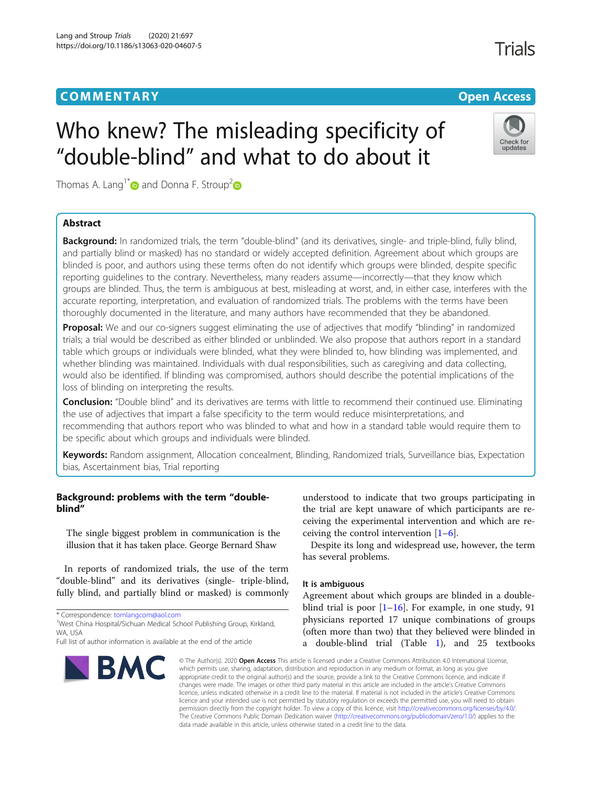# **COMMENTARY COMMENTARY Open Access**

Check for updates

**Trials** 

# Who knew? The misleading specificity of "double-blind" and what to do about it

Thomas A. Lang<sup>1[\\*](https://orcid.org/0000-0002-7482-7727)</sup> and Donna F. Stroup<sup>[2](https://orcid.org/0000-0003-1699-4671)</sup>

# Abstract

Background: In randomized trials, the term "double-blind" (and its derivatives, single- and triple-blind, fully blind, and partially blind or masked) has no standard or widely accepted definition. Agreement about which groups are blinded is poor, and authors using these terms often do not identify which groups were blinded, despite specific reporting guidelines to the contrary. Nevertheless, many readers assume—incorrectly—that they know which groups are blinded. Thus, the term is ambiguous at best, misleading at worst, and, in either case, interferes with the accurate reporting, interpretation, and evaluation of randomized trials. The problems with the terms have been thoroughly documented in the literature, and many authors have recommended that they be abandoned.

**Proposal:** We and our co-signers suggest eliminating the use of adjectives that modify "blinding" in randomized trials; a trial would be described as either blinded or unblinded. We also propose that authors report in a standard table which groups or individuals were blinded, what they were blinded to, how blinding was implemented, and whether blinding was maintained. Individuals with dual responsibilities, such as caregiving and data collecting, would also be identified. If blinding was compromised, authors should describe the potential implications of the loss of blinding on interpreting the results.

Conclusion: "Double blind" and its derivatives are terms with little to recommend their continued use. Eliminating the use of adjectives that impart a false specificity to the term would reduce misinterpretations, and recommending that authors report who was blinded to what and how in a standard table would require them to be specific about which groups and individuals were blinded.

Keywords: Random assignment, Allocation concealment, Blinding, Randomized trials, Surveillance bias, Expectation bias, Ascertainment bias, Trial reporting

# Background: problems with the term "doubleblind"

The single biggest problem in communication is the illusion that it has taken place. George Bernard Shaw

In reports of randomized trials, the use of the term "double-blind" and its derivatives (single- triple-blind, fully blind, and partially blind or masked) is commonly

\* Correspondence: [tomlangcom@aol.com](mailto:tomlangcom@aol.com) <sup>1</sup>

<sup>1</sup>West China Hospital/Sichuan Medical School Publishing Group, Kirkland, WA USA

Full list of author information is available at the end of the article



understood to indicate that two groups participating in the trial are kept unaware of which participants are receiving the experimental intervention and which are receiving the control intervention  $[1-6]$  $[1-6]$  $[1-6]$  $[1-6]$ .

Despite its long and widespread use, however, the term has several problems.

# It is ambiguous

Agreement about which groups are blinded in a doubleblind trial is poor  $[1–16]$  $[1–16]$  $[1–16]$  $[1–16]$  $[1–16]$ . For example, in one study, 91 physicians reported 17 unique combinations of groups (often more than two) that they believed were blinded in a double-blind trial (Table [1](#page-1-0)), and 25 textbooks

© The Author(s), 2020 **Open Access** This article is licensed under a Creative Commons Attribution 4.0 International License, which permits use, sharing, adaptation, distribution and reproduction in any medium or format, as long as you give appropriate credit to the original author(s) and the source, provide a link to the Creative Commons licence, and indicate if changes were made. The images or other third party material in this article are included in the article's Creative Commons licence, unless indicated otherwise in a credit line to the material. If material is not included in the article's Creative Commons licence and your intended use is not permitted by statutory regulation or exceeds the permitted use, you will need to obtain permission directly from the copyright holder. To view a copy of this licence, visit [http://creativecommons.org/licenses/by/4.0/.](http://creativecommons.org/licenses/by/4.0/) The Creative Commons Public Domain Dedication waiver [\(http://creativecommons.org/publicdomain/zero/1.0/](http://creativecommons.org/publicdomain/zero/1.0/)) applies to the data made available in this article, unless otherwise stated in a credit line to the data.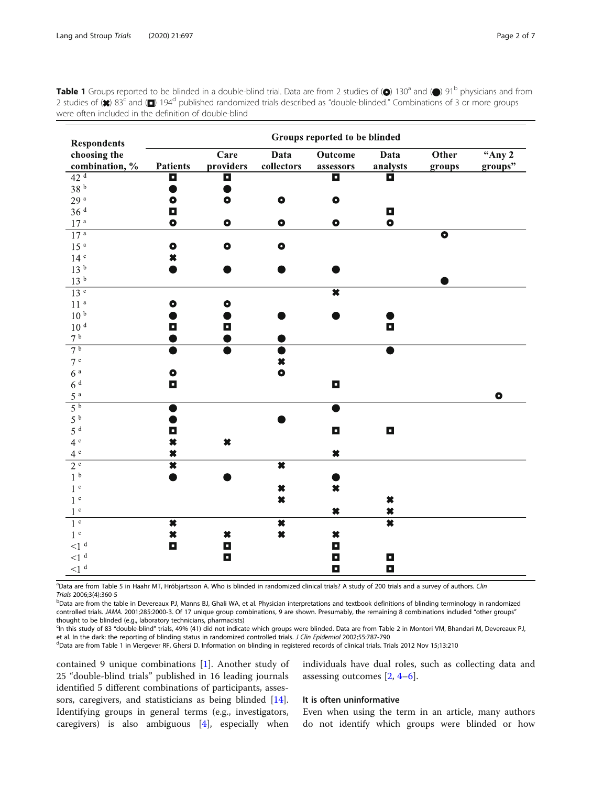<span id="page-1-0"></span>**Table 1** Groups reported to be blinded in a double-blind trial. Data are from 2 studies of  $\textcircled{e}$  130<sup>a</sup> and  $\textcircled{e}$  91<sup>b</sup> physicians and from 2 studies of  $(x)$  83<sup>c</sup> and ( $\Box$ ) 194<sup>d</sup> published randomized trials described as "double-blinded." Combinations of 3 or more groups were often included in the definition of double-blind

| <b>Respondents</b>               | Groups reported to be blinded |                     |                                     |                         |                                            |                      |           |
|----------------------------------|-------------------------------|---------------------|-------------------------------------|-------------------------|--------------------------------------------|----------------------|-----------|
| choosing the                     |                               | $\overline{C}$ are  | Data                                | <b>Outcome</b>          | Data                                       | Other                | "Any $2$  |
| combination, %                   | <b>Patients</b>               | providers           | collectors                          | assessors               | analysts                                   | groups               | groups"   |
| 42 <sup>d</sup>                  | Ξ                             | П                   |                                     | $\blacksquare$          | o                                          |                      |           |
| $38~^{\rm b}$                    |                               |                     |                                     |                         |                                            |                      |           |
| $29$ $^{\rm a}$                  | $\bullet$                     | $\bullet$           | $\bullet$                           | $\bullet$               |                                            |                      |           |
| 36 <sup>d</sup>                  | $\Box$                        |                     |                                     |                         | $\blacksquare$                             |                      |           |
| 17 <sup>a</sup>                  | $\bullet$                     | $\bullet$           | $\bullet$                           | $\bullet$               | $\bullet$                                  |                      |           |
| 17 <sup>a</sup>                  |                               |                     |                                     |                         |                                            | $\overline{\bullet}$ |           |
| 15 <sup>a</sup>                  | $\bullet$                     | $\bullet$           | $\bullet$                           |                         |                                            |                      |           |
| 14 <sup>c</sup>                  | $\pmb{\times}$                |                     |                                     |                         |                                            |                      |           |
| 13 <sup>b</sup>                  |                               |                     |                                     |                         |                                            |                      |           |
| 13 <sup>b</sup>                  |                               |                     |                                     |                         |                                            |                      |           |
| 13 <sup>c</sup>                  |                               |                     |                                     | $\overline{\textbf{x}}$ |                                            |                      |           |
| 11 <sup>a</sup>                  | $\bullet$                     | $\bullet$           |                                     |                         |                                            |                      |           |
| 10 <sup>b</sup>                  |                               |                     |                                     |                         |                                            |                      |           |
| 10 <sup>d</sup>                  | $\Box$                        | о                   |                                     |                         | $\blacksquare$                             |                      |           |
| 7 <sup>b</sup>                   |                               |                     |                                     |                         |                                            |                      |           |
| 7 <sup>b</sup>                   |                               |                     |                                     |                         |                                            |                      |           |
| 7c                               |                               |                     | ×                                   |                         |                                            |                      |           |
| 6 <sup>a</sup>                   | $\bullet$                     |                     | $\bullet$                           |                         |                                            |                      |           |
| 6 <sup>d</sup>                   | $\blacksquare$                |                     |                                     | $\Box$                  |                                            |                      |           |
| 5 <sup>a</sup>                   |                               |                     |                                     |                         |                                            |                      | $\bullet$ |
| $\overline{5^b}$                 | ●                             |                     |                                     |                         |                                            |                      |           |
| 5 <sup>b</sup>                   |                               |                     |                                     |                         |                                            |                      |           |
| 5 <sup>d</sup>                   | $\blacksquare$                |                     |                                     | $\blacksquare$          | $\blacksquare$                             |                      |           |
| 4c                               | $\boldsymbol{\ast}$           | $\boldsymbol{\ast}$ |                                     |                         |                                            |                      |           |
| 4c                               | $\boldsymbol{\ast}$           |                     |                                     | $\pmb{\times}$          |                                            |                      |           |
| $2^{\circ}$                      | $\overline{\textbf{x}}$       |                     | $\overline{\textbf{x}}$             |                         |                                            |                      |           |
| 1 <sup>b</sup>                   |                               |                     |                                     |                         |                                            |                      |           |
| 1 <sup>c</sup><br>1 <sup>c</sup> |                               |                     | $\boldsymbol{\ast}$<br>$\pmb{\ast}$ | $\pmb{\times}$          |                                            |                      |           |
|                                  |                               |                     |                                     |                         | $\boldsymbol{\ast}$                        |                      |           |
| 1 <sup>c</sup><br>1 <sup>c</sup> | $\overline{\bm{x}}$           |                     | $\overline{\bm{x}}$                 | $\boldsymbol{\ast}$     | $\boldsymbol{\ast}$<br>$\overline{\bm{x}}$ |                      |           |
| 1 <sup>c</sup>                   | $\boldsymbol{\ast}$           | $\ast$              | $\pmb{\times}$                      | $\pmb{\times}$          |                                            |                      |           |
| $\leq l$ <sup>d</sup>            | $\blacksquare$                | $\Box$              |                                     | $\blacksquare$          |                                            |                      |           |
| ${<}1^{\rm d}$                   |                               | $\blacksquare$      |                                     | $\Box$                  | $\blacksquare$                             |                      |           |
| ${<}1^{\rm d}$                   |                               |                     |                                     | о                       | $\blacksquare$                             |                      |           |
|                                  |                               |                     |                                     |                         |                                            |                      |           |

<sup>a</sup>Data are from Table 5 in Haahr MT, Hróbjartsson A. Who is blinded in randomized clinical trials? A study of 200 trials and a survey of authors. Clin Trials 2006;3(4):360-5 <sup>b</sup>

<sup>b</sup>Data are from the table in Devereaux PJ, Manns BJ, Ghali WA, et al. Physician interpretations and textbook definitions of blinding terminology in randomized controlled trials. JAMA. 2001;285:2000-3. Of 17 unique group combinations, 9 are shown. Presumably, the remaining 8 combinations included "other groups" thought to be blinded (e.g., laboratory technicians, pharmacists)

c In this study of 83 "double-blind" trials, 49% (41) did not indicate which groups were blinded. Data are from Table 2 in Montori VM, Bhandari M, Devereaux PJ, et al. In the dark: the reporting of blinding status in randomized controlled trials. J Clin Epidemiol 2002;55:787-790

<sup>d</sup>Data are from Table 1 in Viergever RF, Ghersi D. Information on blinding in registered records of clinical trials. Trials 2012 Nov 15;13:210

contained 9 unique combinations [\[1](#page-5-0)]. Another study of 25 "double-blind trials" published in 16 leading journals identified 5 different combinations of participants, assessors, caregivers, and statisticians as being blinded [\[14](#page-5-0)]. Identifying groups in general terms (e.g., investigators, caregivers) is also ambiguous [\[4](#page-5-0)], especially when

individuals have dual roles, such as collecting data and assessing outcomes [[2,](#page-5-0) [4](#page-5-0)–[6\]](#page-5-0).

# It is often uninformative

Even when using the term in an article, many authors do not identify which groups were blinded or how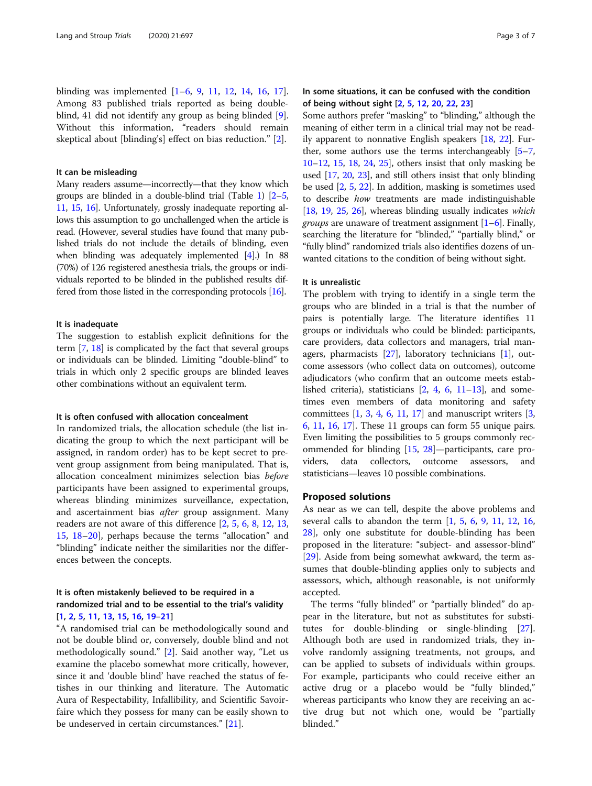blinding was implemented [[1](#page-5-0)–[6](#page-5-0), [9,](#page-5-0) [11](#page-5-0), [12,](#page-5-0) [14](#page-5-0), [16,](#page-5-0) [17](#page-5-0)]. Among 83 published trials reported as being doubleblind, 41 did not identify any group as being blinded [\[9](#page-5-0)]. Without this information, "readers should remain skeptical about [blinding's] effect on bias reduction." [\[2\]](#page-5-0).

# It can be misleading

Many readers assume—incorrectly—that they know which groups are blinded in a double-blind trial (Table [1](#page-1-0)) [\[2](#page-5-0)–[5](#page-5-0), [11](#page-5-0), [15](#page-5-0), [16\]](#page-5-0). Unfortunately, grossly inadequate reporting allows this assumption to go unchallenged when the article is read. (However, several studies have found that many published trials do not include the details of blinding, even when blinding was adequately implemented [[4](#page-5-0)].) In 88 (70%) of 126 registered anesthesia trials, the groups or individuals reported to be blinded in the published results differed from those listed in the corresponding protocols [\[16\]](#page-5-0).

# It is inadequate

The suggestion to establish explicit definitions for the term [\[7,](#page-5-0) [18\]](#page-5-0) is complicated by the fact that several groups or individuals can be blinded. Limiting "double-blind" to trials in which only 2 specific groups are blinded leaves other combinations without an equivalent term.

# It is often confused with allocation concealment

In randomized trials, the allocation schedule (the list indicating the group to which the next participant will be assigned, in random order) has to be kept secret to prevent group assignment from being manipulated. That is, allocation concealment minimizes selection bias before participants have been assigned to experimental groups, whereas blinding minimizes surveillance, expectation, and ascertainment bias after group assignment. Many readers are not aware of this difference [\[2](#page-5-0), [5](#page-5-0), [6](#page-5-0), [8](#page-5-0), [12](#page-5-0), [13](#page-5-0), [15,](#page-5-0) [18](#page-5-0)–[20](#page-5-0)], perhaps because the terms "allocation" and "blinding" indicate neither the similarities nor the differences between the concepts.

# It is often mistakenly believed to be required in a randomized trial and to be essential to the trial's validity [\[1](#page-5-0), [2](#page-5-0), [5,](#page-5-0) [11](#page-5-0), [13](#page-5-0), [15,](#page-5-0) [16](#page-5-0), [19](#page-5-0)–[21](#page-5-0)]

"A randomised trial can be methodologically sound and not be double blind or, conversely, double blind and not methodologically sound." [\[2](#page-5-0)]. Said another way, "Let us examine the placebo somewhat more critically, however, since it and 'double blind' have reached the status of fetishes in our thinking and literature. The Automatic Aura of Respectability, Infallibility, and Scientific Savoirfaire which they possess for many can be easily shown to be undeserved in certain circumstances." [[21\]](#page-5-0).

# In some situations, it can be confused with the condition of being without sight [\[2](#page-5-0), [5,](#page-5-0) [12](#page-5-0), [20](#page-5-0), [22,](#page-5-0) [23](#page-5-0)]

Some authors prefer "masking" to "blinding," although the meaning of either term in a clinical trial may not be readily apparent to nonnative English speakers [[18](#page-5-0), [22](#page-5-0)]. Further, some authors use the terms interchangeably [\[5](#page-5-0)–[7](#page-5-0), [10](#page-5-0)–[12,](#page-5-0) [15](#page-5-0), [18](#page-5-0), [24,](#page-5-0) [25\]](#page-5-0), others insist that only masking be used [[17](#page-5-0), [20](#page-5-0), [23](#page-5-0)], and still others insist that only blinding be used [[2](#page-5-0), [5](#page-5-0), [22](#page-5-0)]. In addition, masking is sometimes used to describe how treatments are made indistinguishable [[18](#page-5-0), [19,](#page-5-0) [25](#page-5-0), [26\]](#page-6-0), whereas blinding usually indicates which *groups* are unaware of treatment assignment  $[1-6]$  $[1-6]$  $[1-6]$  $[1-6]$  $[1-6]$ . Finally, searching the literature for "blinded," "partially blind," or "fully blind" randomized trials also identifies dozens of unwanted citations to the condition of being without sight.

# It is unrealistic

The problem with trying to identify in a single term the groups who are blinded in a trial is that the number of pairs is potentially large. The literature identifies 11 groups or individuals who could be blinded: participants, care providers, data collectors and managers, trial managers, pharmacists  $[27]$ , laboratory technicians  $[1]$  $[1]$ , outcome assessors (who collect data on outcomes), outcome adjudicators (who confirm that an outcome meets established criteria), statisticians [[2](#page-5-0), [4,](#page-5-0) [6,](#page-5-0) [11](#page-5-0)–[13](#page-5-0)], and sometimes even members of data monitoring and safety committees  $\begin{bmatrix} 1, 3, 4, 6, 11, 17 \end{bmatrix}$  $\begin{bmatrix} 1, 3, 4, 6, 11, 17 \end{bmatrix}$  $\begin{bmatrix} 1, 3, 4, 6, 11, 17 \end{bmatrix}$  $\begin{bmatrix} 1, 3, 4, 6, 11, 17 \end{bmatrix}$  $\begin{bmatrix} 1, 3, 4, 6, 11, 17 \end{bmatrix}$  $\begin{bmatrix} 1, 3, 4, 6, 11, 17 \end{bmatrix}$  $\begin{bmatrix} 1, 3, 4, 6, 11, 17 \end{bmatrix}$  $\begin{bmatrix} 1, 3, 4, 6, 11, 17 \end{bmatrix}$  $\begin{bmatrix} 1, 3, 4, 6, 11, 17 \end{bmatrix}$  $\begin{bmatrix} 1, 3, 4, 6, 11, 17 \end{bmatrix}$  $\begin{bmatrix} 1, 3, 4, 6, 11, 17 \end{bmatrix}$  $\begin{bmatrix} 1, 3, 4, 6, 11, 17 \end{bmatrix}$  $\begin{bmatrix} 1, 3, 4, 6, 11, 17 \end{bmatrix}$  and manuscript writers  $\begin{bmatrix} 3, 1, 1 \end{bmatrix}$  $\begin{bmatrix} 3, 1, 1 \end{bmatrix}$  $\begin{bmatrix} 3, 1, 1 \end{bmatrix}$ [6,](#page-5-0) [11,](#page-5-0) [16](#page-5-0), [17](#page-5-0)]. These 11 groups can form 55 unique pairs. Even limiting the possibilities to 5 groups commonly recommended for blinding [\[15,](#page-5-0) [28](#page-6-0)]—participants, care providers, data collectors, outcome assessors, and statisticians—leaves 10 possible combinations.

# Proposed solutions

As near as we can tell, despite the above problems and several calls to abandon the term  $[1, 5, 6, 9, 11, 12, 16,$  $[1, 5, 6, 9, 11, 12, 16,$  $[1, 5, 6, 9, 11, 12, 16,$  $[1, 5, 6, 9, 11, 12, 16,$  $[1, 5, 6, 9, 11, 12, 16,$  $[1, 5, 6, 9, 11, 12, 16,$  $[1, 5, 6, 9, 11, 12, 16,$  $[1, 5, 6, 9, 11, 12, 16,$  $[1, 5, 6, 9, 11, 12, 16,$  $[1, 5, 6, 9, 11, 12, 16,$  $[1, 5, 6, 9, 11, 12, 16,$  $[1, 5, 6, 9, 11, 12, 16,$  $[1, 5, 6, 9, 11, 12, 16,$  $[1, 5, 6, 9, 11, 12, 16,$  $[1, 5, 6, 9, 11, 12, 16,$ [28\]](#page-6-0), only one substitute for double-blinding has been proposed in the literature: "subject- and assessor-blind" [[29\]](#page-6-0). Aside from being somewhat awkward, the term assumes that double-blinding applies only to subjects and assessors, which, although reasonable, is not uniformly accepted.

The terms "fully blinded" or "partially blinded" do appear in the literature, but not as substitutes for substitutes for double-blinding or single-blinding [\[27](#page-6-0)]. Although both are used in randomized trials, they involve randomly assigning treatments, not groups, and can be applied to subsets of individuals within groups. For example, participants who could receive either an active drug or a placebo would be "fully blinded," whereas participants who know they are receiving an active drug but not which one, would be "partially blinded."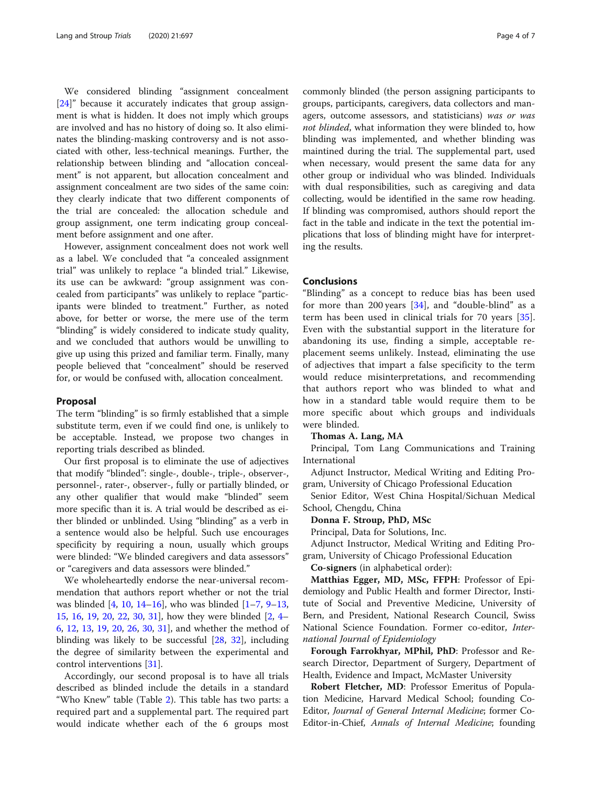We considered blinding "assignment concealment [[24\]](#page-5-0)" because it accurately indicates that group assignment is what is hidden. It does not imply which groups are involved and has no history of doing so. It also eliminates the blinding-masking controversy and is not associated with other, less-technical meanings. Further, the relationship between blinding and "allocation concealment" is not apparent, but allocation concealment and assignment concealment are two sides of the same coin: they clearly indicate that two different components of the trial are concealed: the allocation schedule and group assignment, one term indicating group concealment before assignment and one after.

However, assignment concealment does not work well as a label. We concluded that "a concealed assignment trial" was unlikely to replace "a blinded trial." Likewise, its use can be awkward: "group assignment was concealed from participants" was unlikely to replace "participants were blinded to treatment." Further, as noted above, for better or worse, the mere use of the term "blinding" is widely considered to indicate study quality, and we concluded that authors would be unwilling to give up using this prized and familiar term. Finally, many people believed that "concealment" should be reserved for, or would be confused with, allocation concealment.

# Proposal

The term "blinding" is so firmly established that a simple substitute term, even if we could find one, is unlikely to be acceptable. Instead, we propose two changes in reporting trials described as blinded.

Our first proposal is to eliminate the use of adjectives that modify "blinded": single-, double-, triple-, observer-, personnel-, rater-, observer-, fully or partially blinded, or any other qualifier that would make "blinded" seem more specific than it is. A trial would be described as either blinded or unblinded. Using "blinding" as a verb in a sentence would also be helpful. Such use encourages specificity by requiring a noun, usually which groups were blinded: "We blinded caregivers and data assessors" or "caregivers and data assessors were blinded."

We wholeheartedly endorse the near-universal recommendation that authors report whether or not the trial was blinded  $[4, 10, 14–16]$  $[4, 10, 14–16]$  $[4, 10, 14–16]$  $[4, 10, 14–16]$  $[4, 10, 14–16]$  $[4, 10, 14–16]$  $[4, 10, 14–16]$  $[4, 10, 14–16]$ , who was blinded  $[1–7, 9–13]$  $[1–7, 9–13]$  $[1–7, 9–13]$  $[1–7, 9–13]$  $[1–7, 9–13]$  $[1–7, 9–13]$  $[1–7, 9–13]$  $[1–7, 9–13]$  $[1–7, 9–13]$ , [15,](#page-5-0) [16,](#page-5-0) [19](#page-5-0), [20,](#page-5-0) [22](#page-5-0), [30,](#page-6-0) [31](#page-6-0)], how they were blinded [\[2](#page-5-0), [4](#page-5-0)– [6,](#page-5-0) [12,](#page-5-0) [13](#page-5-0), [19](#page-5-0), [20,](#page-5-0) [26,](#page-6-0) [30](#page-6-0), [31](#page-6-0)], and whether the method of blinding was likely to be successful [[28,](#page-6-0) [32](#page-6-0)], including the degree of similarity between the experimental and control interventions [[31\]](#page-6-0).

Accordingly, our second proposal is to have all trials described as blinded include the details in a standard "Who Knew" table (Table [2\)](#page-4-0). This table has two parts: a required part and a supplemental part. The required part would indicate whether each of the 6 groups most

commonly blinded (the person assigning participants to groups, participants, caregivers, data collectors and managers, outcome assessors, and statisticians) was or was not blinded, what information they were blinded to, how blinding was implemented, and whether blinding was maintined during the trial. The supplemental part, used when necessary, would present the same data for any other group or individual who was blinded. Individuals with dual responsibilities, such as caregiving and data collecting, would be identified in the same row heading. If blinding was compromised, authors should report the fact in the table and indicate in the text the potential implications that loss of blinding might have for interpreting the results.

# Conclusions

"Blinding" as a concept to reduce bias has been used for more than 200 years [\[34](#page-6-0)], and "double-blind" as a term has been used in clinical trials for 70 years [\[35](#page-6-0)]. Even with the substantial support in the literature for abandoning its use, finding a simple, acceptable replacement seems unlikely. Instead, eliminating the use of adjectives that impart a false specificity to the term would reduce misinterpretations, and recommending that authors report who was blinded to what and how in a standard table would require them to be more specific about which groups and individuals were blinded.

# Thomas A. Lang, MA

Principal, Tom Lang Communications and Training International

Adjunct Instructor, Medical Writing and Editing Program, University of Chicago Professional Education

Senior Editor, West China Hospital/Sichuan Medical School, Chengdu, China

# Donna F. Stroup, PhD, MSc

Principal, Data for Solutions, Inc.

Adjunct Instructor, Medical Writing and Editing Program, University of Chicago Professional Education

Co-signers (in alphabetical order):

Matthias Egger, MD, MSc, FFPH: Professor of Epidemiology and Public Health and former Director, Institute of Social and Preventive Medicine, University of Bern, and President, National Research Council, Swiss National Science Foundation. Former co-editor, International Journal of Epidemiology

Forough Farrokhyar, MPhil, PhD: Professor and Research Director, Department of Surgery, Department of Health, Evidence and Impact, McMaster University

Robert Fletcher, MD: Professor Emeritus of Population Medicine, Harvard Medical School; founding Co-Editor, Journal of General Internal Medicine; former Co-Editor-in-Chief, Annals of Internal Medicine; founding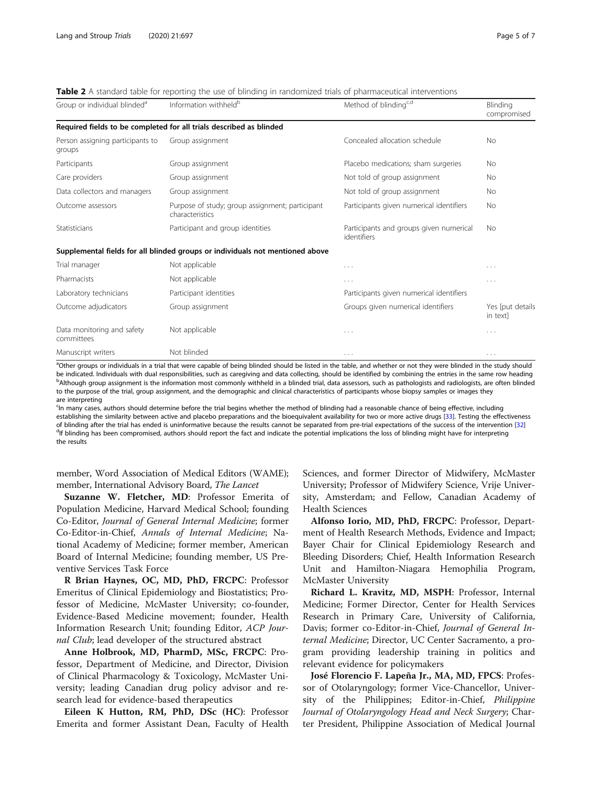<span id="page-4-0"></span>Table 2 A standard table for reporting the use of blinding in randomized trials of pharmaceutical interventions

| Group or individual blinded <sup>a</sup>   | Information withheld <sup>b</sup>                                             | Method of blinding <sup>c,d</sup>                      | Blinding<br>compromised      |
|--------------------------------------------|-------------------------------------------------------------------------------|--------------------------------------------------------|------------------------------|
|                                            | Required fields to be completed for all trials described as blinded           |                                                        |                              |
| Person assigning participants to<br>groups | Group assignment                                                              | Concealed allocation schedule                          | <b>No</b>                    |
| Participants                               | Group assignment                                                              | Placebo medications; sham surgeries                    | No                           |
| Care providers                             | Group assignment                                                              | Not told of group assignment                           | <b>No</b>                    |
| Data collectors and managers               | Group assignment                                                              | Not told of group assignment                           | No                           |
| Outcome assessors                          | Purpose of study; group assignment; participant<br>characteristics            | Participants given numerical identifiers               | No                           |
| Statisticians                              | Participant and group identities                                              | Participants and groups given numerical<br>identifiers | <b>No</b>                    |
|                                            | Supplemental fields for all blinded groups or individuals not mentioned above |                                                        |                              |
| Trial manager                              | Not applicable                                                                | $\cdots$                                               | $\cdots$                     |
| Pharmacists                                | Not applicable                                                                | .                                                      | $\cdots$                     |
| Laboratory technicians                     | Participant identities                                                        | Participants given numerical identifiers               |                              |
| Outcome adjudicators                       | Group assignment                                                              | Groups given numerical identifiers                     | Yes [put details<br>in text] |
| Data monitoring and safety<br>committees   | Not applicable                                                                | .                                                      | $\cdots$                     |
| Manuscript writers                         | Not blinded                                                                   | $\cdots$                                               | $\cdots$                     |

<sup>a</sup>Other groups or individuals in a trial that were capable of being blinded should be listed in the table, and whether or not they were blinded in the study should be indicated. Individuals with dual responsibilities, such as caregiving and data collecting, should be identified by combining the entries in the same row heading <sup>b</sup>Although group assignment is the information most commonly withheld in a blinded trial, data assessors, such as pathologists and radiologists, are often blinded to the purpose of the trial, group assignment, and the demographic and clinical characteristics of participants whose biopsy samples or images they are interpreting

<sup>c</sup>In many cases, authors should determine before the trial begins whether the method of blinding had a reasonable chance of being effective, including establishing the similarity between active and placebo preparations and the bioequivalent availability for two or more active drugs [\[33\]](#page-6-0). Testing the effectiveness of blinding after the trial has ended is uninformative because the results cannot be separated from pre-trial expectations of the success of the intervention [[32](#page-6-0)] <sup>d</sup> <sup>d</sup>If blinding has been compromised, authors should report the fact and indicate the potential implications the loss of blinding might have for interpreting the results

member, Word Association of Medical Editors (WAME); member, International Advisory Board, The Lancet

Suzanne W. Fletcher, MD: Professor Emerita of Population Medicine, Harvard Medical School; founding Co-Editor, Journal of General Internal Medicine; former Co-Editor-in-Chief, Annals of Internal Medicine; National Academy of Medicine; former member, American Board of Internal Medicine; founding member, US Preventive Services Task Force

R Brian Haynes, OC, MD, PhD, FRCPC: Professor Emeritus of Clinical Epidemiology and Biostatistics; Professor of Medicine, McMaster University; co-founder, Evidence-Based Medicine movement; founder, Health Information Research Unit; founding Editor, ACP Journal Club; lead developer of the structured abstract

Anne Holbrook, MD, PharmD, MSc, FRCPC: Professor, Department of Medicine, and Director, Division of Clinical Pharmacology & Toxicology, McMaster University; leading Canadian drug policy advisor and research lead for evidence-based therapeutics

Eileen K Hutton, RM, PhD, DSc (HC): Professor Emerita and former Assistant Dean, Faculty of Health Sciences, and former Director of Midwifery, McMaster University; Professor of Midwifery Science, Vrije University, Amsterdam; and Fellow, Canadian Academy of Health Sciences

Alfonso Iorio, MD, PhD, FRCPC: Professor, Department of Health Research Methods, Evidence and Impact; Bayer Chair for Clinical Epidemiology Research and Bleeding Disorders; Chief, Health Information Research Unit and Hamilton-Niagara Hemophilia Program, McMaster University

Richard L. Kravitz, MD, MSPH: Professor, Internal Medicine; Former Director, Center for Health Services Research in Primary Care, University of California, Davis; former co-Editor-in-Chief, Journal of General Internal Medicine; Director, UC Center Sacramento, a program providing leadership training in politics and relevant evidence for policymakers

José Florencio F. Lapeña Jr., MA, MD, FPCS: Professor of Otolaryngology; former Vice-Chancellor, University of the Philippines; Editor-in-Chief, *Philippine* Journal of Otolaryngology Head and Neck Surgery; Charter President, Philippine Association of Medical Journal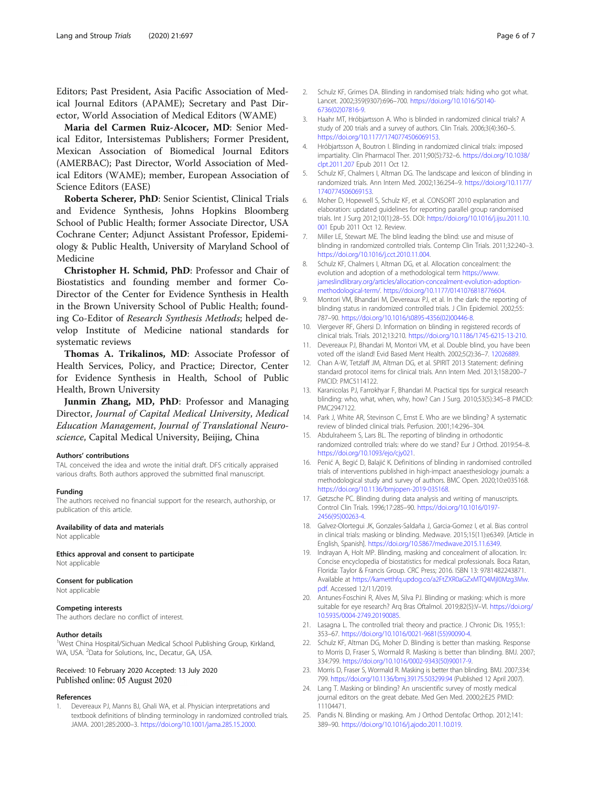<span id="page-5-0"></span>Editors; Past President, Asia Pacific Association of Medical Journal Editors (APAME); Secretary and Past Director, World Association of Medical Editors (WAME)

Maria del Carmen Ruiz-Alcocer, MD: Senior Medical Editor, Intersistemas Publishers; Former President, Mexican Association of Biomedical Journal Editors (AMERBAC); Past Director, World Association of Medical Editors (WAME); member, European Association of Science Editors (EASE)

Roberta Scherer, PhD: Senior Scientist, Clinical Trials and Evidence Synthesis, Johns Hopkins Bloomberg School of Public Health; former Associate Director, USA Cochrane Center; Adjunct Assistant Professor, Epidemiology & Public Health, University of Maryland School of Medicine

Christopher H. Schmid, PhD: Professor and Chair of Biostatistics and founding member and former Co-Director of the Center for Evidence Synthesis in Health in the Brown University School of Public Health; founding Co-Editor of Research Synthesis Methods; helped develop Institute of Medicine national standards for systematic reviews

Thomas A. Trikalinos, MD: Associate Professor of Health Services, Policy, and Practice; Director, Center for Evidence Synthesis in Health, School of Public Health, Brown University

Junmin Zhang, MD, PhD: Professor and Managing Director, Journal of Capital Medical University, Medical Education Management, Journal of Translational Neuroscience, Capital Medical University, Beijing, China

### Authors' contributions

TAL conceived the idea and wrote the initial draft. DFS critically appraised various drafts. Both authors approved the submitted final manuscript.

## Funding

The authors received no financial support for the research, authorship, or publication of this article.

#### Availability of data and materials

Not applicable

Ethics approval and consent to participate Not applicable

#### Consent for publication

Not applicable

## Competing interests

The authors declare no conflict of interest.

#### Author details

<sup>1</sup>West China Hospital/Sichuan Medical School Publishing Group, Kirkland, WA, USA. <sup>2</sup>Data for Solutions, Inc., Decatur, GA, USA.

# Received: 10 February 2020 Accepted: 13 July 2020 Published online: 05 August 2020

#### References

Devereaux PJ, Manns BJ, Ghali WA, et al. Physician interpretations and textbook definitions of blinding terminology in randomized controlled trials. JAMA. 2001;285:2000–3. [https://doi.org/10.1001/jama.285.15.2000.](https://doi.org/10.1001/jama.285.15.2000)

- 2. Schulz KF, Grimes DA. Blinding in randomised trials: hiding who got what. Lancet. 2002;359(9307):696–700. [https://doi.org/10.1016/S0140-](https://doi.org/10.1016/S0140-6736(02)07816-9) [6736\(02\)07816-9](https://doi.org/10.1016/S0140-6736(02)07816-9).
- 3. Haahr MT, Hróbjartsson A. Who is blinded in randomized clinical trials? A study of 200 trials and a survey of authors. Clin Trials. 2006;3(4):360–5. [https://doi.org/10.1177/1740774506069153.](https://doi.org/10.1177/1740774506069153)
- 4. Hróbjartsson A, Boutron I. Blinding in randomized clinical trials: imposed impartiality. Clin Pharmacol Ther. 2011;90(5):732–6. [https://doi.org/10.1038/](https://doi.org/10.1038/clpt.2011.207) [clpt.2011.207](https://doi.org/10.1038/clpt.2011.207) Epub 2011 Oct 12.
- 5. Schulz KF, Chalmers I, Altman DG. The landscape and lexicon of blinding in randomized trials. Ann Intern Med. 2002;136:254–9. [https://doi.org/10.1177/](https://doi.org/10.1177/1740774506069153) [1740774506069153](https://doi.org/10.1177/1740774506069153).
- 6. Moher D, Hopewell S, Schulz KF, et al. CONSORT 2010 explanation and elaboration: updated guidelines for reporting parallel group randomised trials. Int J Surg 2012;10(1):28–55. DOI: [https://doi.org/10.1016/j.ijsu.2011.10.](https://doi.org/10.1016/j.ijsu.2011.10.001) [001](https://doi.org/10.1016/j.ijsu.2011.10.001) Epub 2011 Oct 12. Review.
- 7. Miller LE, Stewart ME. The blind leading the blind: use and misuse of blinding in randomized controlled trials. Contemp Clin Trials. 2011;32:240–3. <https://doi.org/10.1016/j.cct.2010.11.004>.
- 8. Schulz KF, Chalmers I, Altman DG, et al. Allocation concealment: the evolution and adoption of a methodological term [https://www.](https://www.jameslindlibrary.org/articles/allocation-concealment-evolution-adoption-methodological-term/) [jameslindlibrary.org/articles/allocation-concealment-evolution-adoption](https://www.jameslindlibrary.org/articles/allocation-concealment-evolution-adoption-methodological-term/)[methodological-term/.](https://www.jameslindlibrary.org/articles/allocation-concealment-evolution-adoption-methodological-term/) [https://doi.org/10.1177/0141076818776604.](https://doi.org/10.1177/0141076818776604)
- 9. Montori VM, Bhandari M, Devereaux PJ, et al. In the dark: the reporting of blinding status in randomized controlled trials. J Clin Epidemiol. 2002;55: 787–90. [https://doi.org/10.1016/s0895-4356\(02\)00446-8.](https://doi.org/10.1016/s0895-4356(02)00446-8)
- 10. Viergever RF, Ghersi D. Information on blinding in registered records of clinical trials. Trials. 2012;13:210. [https://doi.org/10.1186/1745-6215-13-210.](https://doi.org/10.1186/1745-6215-13-210)
- 11. Devereaux PJ, Bhandari M, Montori VM, et al. Double blind, you have been voted off the island! Evid Based Ment Health. 2002;5(2):36–7. [12026889.](https://www.ncbi.nlm.nih.gov/pubmed/12026889)
- 12. Chan A-W, Tetzlaff JM, Altman DG, et al. SPIRIT 2013 Statement: defining standard protocol items for clinical trials. Ann Intern Med. 2013;158:200–7 PMCID: PMC5114122.
- 13. Karanicolas PJ, Farrokhyar F, Bhandari M. Practical tips for surgical research blinding: who, what, when, why, how? Can J Surg. 2010;53(5):345–8 PMCID: PMC2947122.
- 14. Park J, White AR, Stevinson C, Ernst E. Who are we blinding? A systematic review of blinded clinical trials. Perfusion. 2001;14:296–304.
- 15. Abdulraheem S, Lars BL. The reporting of blinding in orthodontic randomized controlled trials: where do we stand? Eur J Orthod. 2019:54–8. <https://doi.org/10.1093/ejo/cjy021>.
- 16. Penić A, Begić D, Balajić K. Definitions of blinding in randomised controlled trials of interventions published in high-impact anaesthesiology journals: a methodological study and survey of authors. BMC Open. 2020;10:e035168. <https://doi.org/10.1136/bmjopen-2019-035168>.
- 17. Gøtzsche PC. Blinding during data analysis and writing of manuscripts. Control Clin Trials. 1996;17:285–90. [https://doi.org/10.1016/0197-](https://doi.org/10.1016/0197-2456(95)00263-4) [2456\(95\)00263-4](https://doi.org/10.1016/0197-2456(95)00263-4).
- 18. Galvez-Olortegui JK, Gonzales-Saldaña J, Garcia-Gomez I, et al. Bias control in clinical trials: masking or blinding. Medwave. 2015;15(11):e6349. [Article in English, Spanish]. <https://doi.org/10.5867/medwave.2015.11.6349>.
- 19. Indrayan A, Holt MP. Blinding, masking and concealment of allocation. In: Concise encyclopedia of biostatistics for medical professionals. Boca Ratan, Florida: Taylor & Francis Group. CRC Press; 2016. ISBN 13: 9781482243871. Available at [https://kametthfq.updog.co/a2FtZXR0aGZxMTQ4MjI0Mzg3Mw.](https://kametthfq.updog.co/a2FtZXR0aGZxMTQ4MjI0Mzg3Mw.pdf) [pdf](https://kametthfq.updog.co/a2FtZXR0aGZxMTQ4MjI0Mzg3Mw.pdf). Accessed 12/11/2019.
- 20. Antunes-Foschini R, Alves M, Silva PJ. Blinding or masking: which is more suitable for eye research? Arq Bras Oftalmol. 2019;82(5):V–VI. [https://doi.org/](https://doi.org/10.5935/0004-2749.20190085) [10.5935/0004-2749.20190085.](https://doi.org/10.5935/0004-2749.20190085)
- 21. Lasagna L. The controlled trial: theory and practice. J Chronic Dis. 1955;1: 353–67. [https://doi.org/10.1016/0021-9681\(55\)90090-4](https://doi.org/10.1016/0021-9681(55)90090-4).
- 22. Schulz KF, Altman DG, Moher D. Blinding is better than masking. Response to Morris D, Fraser S, Wormald R. Masking is better than blinding. BMJ. 2007; 334:799. [https://doi.org/10.1016/0002-9343\(50\)90017-9](https://doi.org/10.1016/0002-9343(50)90017-9).
- 23. Morris D, Fraser S, Wormald R. Masking is better than blinding. BMJ. 2007;334: 799. <https://doi.org/10.1136/bmj.39175.503299.94> (Published 12 April 2007).
- 24. Lang T. Masking or blinding? An unscientific survey of mostly medical journal editors on the great debate. Med Gen Med. 2000;2:E25 PMID: 11104471.
- 25. Pandis N. Blinding or masking. Am J Orthod Dentofac Orthop. 2012;141: 389–90. [https://doi.org/10.1016/j.ajodo.2011.10.019.](https://doi.org/10.1016/j.ajodo.2011.10.019)